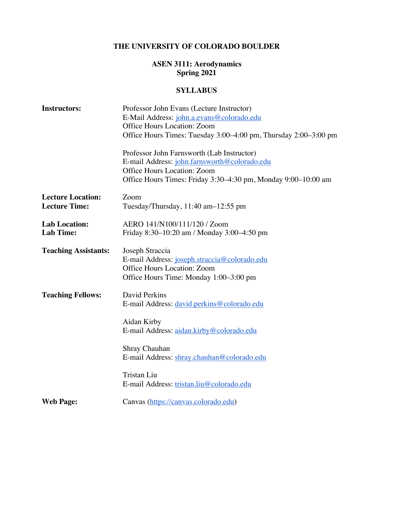# **THE UNIVERSITY OF COLORADO BOULDER**

# **ASEN 3111: Aerodynamics Spring 2021**

# **SYLLABUS**

| <b>Instructors:</b>         | Professor John Evans (Lecture Instructor)                       |  |
|-----------------------------|-----------------------------------------------------------------|--|
|                             | E-Mail Address: john.a.evans@colorado.edu                       |  |
|                             | Office Hours Location: Zoom                                     |  |
|                             | Office Hours Times: Tuesday 3:00-4:00 pm, Thursday 2:00-3:00 pm |  |
|                             | Professor John Farnsworth (Lab Instructor)                      |  |
|                             | E-mail Address: john.farnsworth@colorado.edu                    |  |
|                             | <b>Office Hours Location: Zoom</b>                              |  |
|                             | Office Hours Times: Friday 3:30–4:30 pm, Monday 9:00–10:00 am   |  |
| <b>Lecture Location:</b>    | Zoom                                                            |  |
| <b>Lecture Time:</b>        | Tuesday/Thursday, 11:40 am-12:55 pm                             |  |
| <b>Lab Location:</b>        | AERO 141/N100/111/120 / Zoom                                    |  |
| <b>Lab Time:</b>            | Friday 8:30-10:20 am / Monday 3:00-4:50 pm                      |  |
| <b>Teaching Assistants:</b> | Joseph Straccia                                                 |  |
|                             | E-mail Address: joseph.straccia@colorado.edu                    |  |
|                             | Office Hours Location: Zoom                                     |  |
|                             | Office Hours Time: Monday 1:00–3:00 pm                          |  |
| <b>Teaching Fellows:</b>    | David Perkins                                                   |  |
|                             | E-mail Address: david.perkins@colorado.edu                      |  |
|                             | Aidan Kirby                                                     |  |
|                             | E-mail Address: aidan.kirby@colorado.edu                        |  |
|                             | Shray Chauhan                                                   |  |
|                             | E-mail Address: shray.chauhan@colorado.edu                      |  |
|                             | <b>Tristan Liu</b>                                              |  |
|                             | E-mail Address: tristan.liu@colorado.edu                        |  |
| <b>Web Page:</b>            | Canvas (https://canvas.colorado.edu)                            |  |
|                             |                                                                 |  |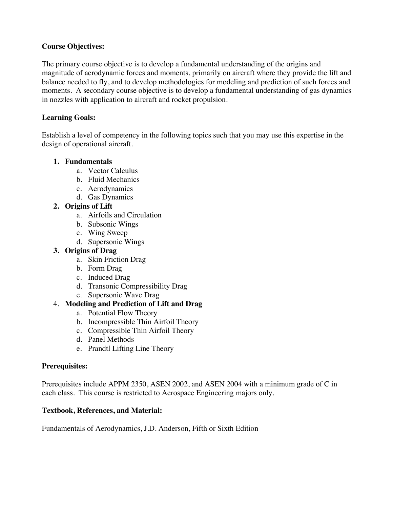## **Course Objectives:**

The primary course objective is to develop a fundamental understanding of the origins and magnitude of aerodynamic forces and moments, primarily on aircraft where they provide the lift and balance needed to fly, and to develop methodologies for modeling and prediction of such forces and moments. A secondary course objective is to develop a fundamental understanding of gas dynamics in nozzles with application to aircraft and rocket propulsion.

#### **Learning Goals:**

Establish a level of competency in the following topics such that you may use this expertise in the design of operational aircraft.

#### **1. Fundamentals**

- a. Vector Calculus
- b. Fluid Mechanics
- c. Aerodynamics
- d. Gas Dynamics

#### **2. Origins of Lift**

- a. Airfoils and Circulation
- b. Subsonic Wings
- c. Wing Sweep
- d. Supersonic Wings

#### **3. Origins of Drag**

- a. Skin Friction Drag
- b. Form Drag
- c. Induced Drag
- d. Transonic Compressibility Drag
- e. Supersonic Wave Drag

## 4. **Modeling and Prediction of Lift and Drag**

- a. Potential Flow Theory
- b. Incompressible Thin Airfoil Theory
- c. Compressible Thin Airfoil Theory
- d. Panel Methods
- e. Prandtl Lifting Line Theory

#### **Prerequisites:**

Prerequisites include APPM 2350, ASEN 2002, and ASEN 2004 with a minimum grade of C in each class. This course is restricted to Aerospace Engineering majors only.

#### **Textbook, References, and Material:**

Fundamentals of Aerodynamics, J.D. Anderson, Fifth or Sixth Edition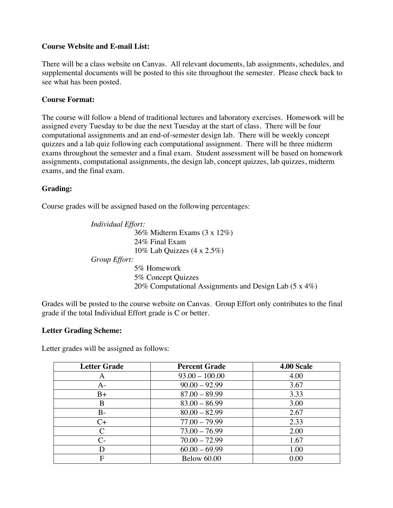#### **Course Website and E-mail List:**

There will be a class website on Canvas. All relevant documents, lab assignments, schedules, and supplemental documents will be posted to this site throughout the semester. Please check back to see what has been posted.

#### **Course Format:**

The course will follow a blend of traditional lectures and laboratory exercises. Homework will be assigned every Tuesday to be due the next Tuesday at the start of class. There will be four computational assignments and an end-of-semester design lab. There will be weekly concept quizzes and a lab quiz following each computational assignment. There will be three midterm exams throughout the semester and a final exam. Student assessment will be based on homework assignments, computational assignments, the design lab, concept quizzes, lab quizzes, midterm exams, and the final exam.

## **Grading:**

Course grades will be assigned based on the following percentages:

*Individual Effort:* 36% Midterm Exams (3 x 12%) 24% Final Exam 10% Lab Quizzes (4 x 2.5%) *Group Effort:* 5% Homework 5% Concept Quizzes 20% Computational Assignments and Design Lab (5 x 4%)

Grades will be posted to the course website on Canvas. Group Effort only contributes to the final grade if the total Individual Effort grade is C or better.

#### **Letter Grading Scheme:**

Letter grades will be assigned as follows:

| <b>Letter Grade</b>  | <b>Percent Grade</b> | 4.00 Scale |
|----------------------|----------------------|------------|
| A                    | $93.00 - 100.00$     | 4.00       |
| A-                   | $90.00 - 92.99$      | 3.67       |
| $B+$                 | $87.00 - 89.99$      | 3.33       |
| B                    | $83.00 - 86.99$      | 3.00       |
| $B-$                 | $80.00 - 82.99$      | 2.67       |
| $C+$                 | $77.00 - 79.99$      | 2.33       |
| $\mathcal{C}$        | $73.00 - 76.99$      | 2.00       |
| $\mathsf{C}\text{-}$ | $70.00 - 72.99$      | 1.67       |
| D                    | $60.00 - 69.99$      | 1.00       |
| F                    | <b>Below 60.00</b>   | 0.00       |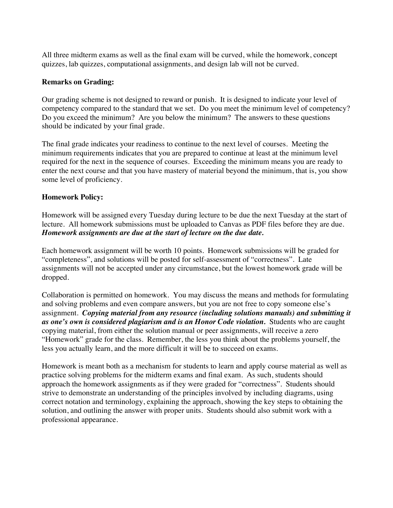All three midterm exams as well as the final exam will be curved, while the homework, concept quizzes, lab quizzes, computational assignments, and design lab will not be curved.

#### **Remarks on Grading:**

Our grading scheme is not designed to reward or punish. It is designed to indicate your level of competency compared to the standard that we set. Do you meet the minimum level of competency? Do you exceed the minimum? Are you below the minimum? The answers to these questions should be indicated by your final grade.

The final grade indicates your readiness to continue to the next level of courses. Meeting the minimum requirements indicates that you are prepared to continue at least at the minimum level required for the next in the sequence of courses. Exceeding the minimum means you are ready to enter the next course and that you have mastery of material beyond the minimum, that is, you show some level of proficiency.

#### **Homework Policy:**

Homework will be assigned every Tuesday during lecture to be due the next Tuesday at the start of lecture. All homework submissions must be uploaded to Canvas as PDF files before they are due. *Homework assignments are due at the start of lecture on the due date.*

Each homework assignment will be worth 10 points. Homework submissions will be graded for "completeness", and solutions will be posted for self-assessment of "correctness". Late assignments will not be accepted under any circumstance, but the lowest homework grade will be dropped.

Collaboration is permitted on homework. You may discuss the means and methods for formulating and solving problems and even compare answers, but you are not free to copy someone else's assignment. *Copying material from any resource (including solutions manuals) and submitting it as one's own is considered plagiarism and is an Honor Code violation.* Students who are caught copying material, from either the solution manual or peer assignments, will receive a zero "Homework" grade for the class. Remember, the less you think about the problems yourself, the less you actually learn, and the more difficult it will be to succeed on exams.

Homework is meant both as a mechanism for students to learn and apply course material as well as practice solving problems for the midterm exams and final exam. As such, students should approach the homework assignments as if they were graded for "correctness". Students should strive to demonstrate an understanding of the principles involved by including diagrams, using correct notation and terminology, explaining the approach, showing the key steps to obtaining the solution, and outlining the answer with proper units. Students should also submit work with a professional appearance.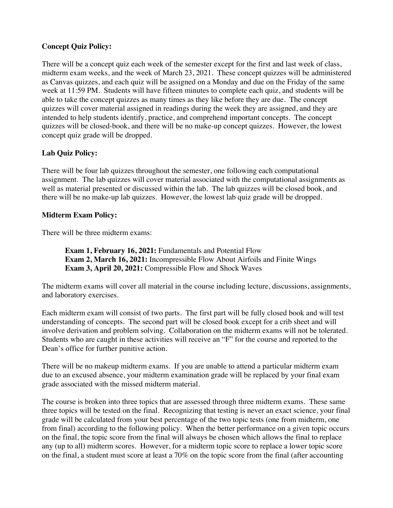# **Concept Quiz Policy:**

There will be a concept quiz each week of the semester except for the first and last week of class, midterm exam weeks, and the week of March 23, 2021. These concept quizzes will be administered as Canvas quizzes, and each quiz will be assigned on a Monday and due on the Friday of the same week at 11:59 PM. Students will have fifteen minutes to complete each quiz, and students will be able to take the concept quizzes as many times as they like before they are due. The concept quizzes will cover material assigned in readings during the week they are assigned, and they are intended to help students identify, practice, and comprehend important concepts. The concept quizzes will be closed-book, and there will be no make-up concept quizzes. However, the lowest concept quiz grade will be dropped.

## **Lab Quiz Policy:**

There will be four lab quizzes throughout the semester, one following each computational assignment. The lab quizzes will cover material associated with the computational assignments as well as material presented or discussed within the lab. The lab quizzes will be closed book, and there will be no make-up lab quizzes. However, the lowest lab quiz grade will be dropped.

## **Midterm Exam Policy:**

There will be three midterm exams:

**Exam 1, February 16, 2021:** Fundamentals and Potential Flow **Exam 2, March 16, 2021:** Incompressible Flow About Airfoils and Finite Wings **Exam 3, April 20, 2021:** Compressible Flow and Shock Waves

The midterm exams will cover all material in the course including lecture, discussions, assignments, and laboratory exercises.

Each midterm exam will consist of two parts. The first part will be fully closed book and will test understanding of concepts. The second part will be closed book except for a crib sheet and will involve derivation and problem solving. Collaboration on the midterm exams will not be tolerated. Students who are caught in these activities will receive an "F" for the course and reported to the Dean's office for further punitive action.

There will be no makeup midterm exams. If you are unable to attend a particular midterm exam due to an excused absence, your midterm examination grade will be replaced by your final exam grade associated with the missed midterm material.

The course is broken into three topics that are assessed through three midterm exams. These same three topics will be tested on the final. Recognizing that testing is never an exact science, your final grade will be calculated from your best percentage of the two topic tests (one from midterm, one from final) according to the following policy. When the better performance on a given topic occurs on the final, the topic score from the final will always be chosen which allows the final to replace any (up to all) midterm scores. However, for a midterm topic score to replace a lower topic score on the final, a student must score at least a 70% on the topic score from the final (after accounting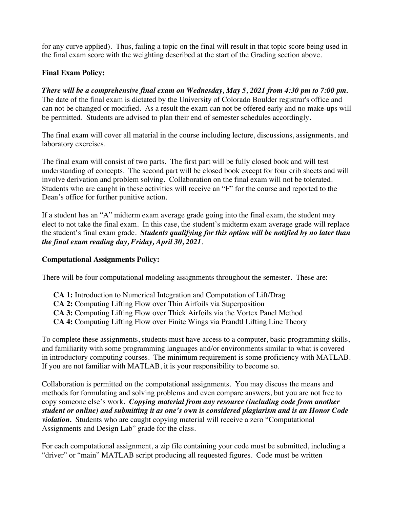for any curve applied). Thus, failing a topic on the final will result in that topic score being used in the final exam score with the weighting described at the start of the Grading section above.

# **Final Exam Policy:**

*There will be a comprehensive final exam on Wednesday, May 5, 2021 from 4:30 pm to 7:00 pm.* The date of the final exam is dictated by the University of Colorado Boulder registrar's office and can not be changed or modified. As a result the exam can not be offered early and no make-ups will be permitted. Students are advised to plan their end of semester schedules accordingly.

The final exam will cover all material in the course including lecture, discussions, assignments, and laboratory exercises.

The final exam will consist of two parts. The first part will be fully closed book and will test understanding of concepts. The second part will be closed book except for four crib sheets and will involve derivation and problem solving. Collaboration on the final exam will not be tolerated. Students who are caught in these activities will receive an "F" for the course and reported to the Dean's office for further punitive action.

If a student has an "A" midterm exam average grade going into the final exam, the student may elect to not take the final exam. In this case, the student's midterm exam average grade will replace the student's final exam grade. *Students qualifying for this option will be notified by no later than the final exam reading day, Friday, April 30, 2021.*

## **Computational Assignments Policy:**

There will be four computational modeling assignments throughout the semester. These are:

**CA 1:** Introduction to Numerical Integration and Computation of Lift/Drag **CA 2:** Computing Lifting Flow over Thin Airfoils via Superposition **CA 3:** Computing Lifting Flow over Thick Airfoils via the Vortex Panel Method **CA 4:** Computing Lifting Flow over Finite Wings via Prandtl Lifting Line Theory

To complete these assignments, students must have access to a computer, basic programming skills, and familiarity with some programming languages and/or environments similar to what is covered in introductory computing courses. The minimum requirement is some proficiency with MATLAB. If you are not familiar with MATLAB, it is your responsibility to become so.

Collaboration is permitted on the computational assignments. You may discuss the means and methods for formulating and solving problems and even compare answers, but you are not free to copy someone else's work. *Copying material from any resource (including code from another student or online) and submitting it as one's own is considered plagiarism and is an Honor Code violation*. Students who are caught copying material will receive a zero "Computational Assignments and Design Lab" grade for the class.

For each computational assignment, a zip file containing your code must be submitted, including a "driver" or "main" MATLAB script producing all requested figures. Code must be written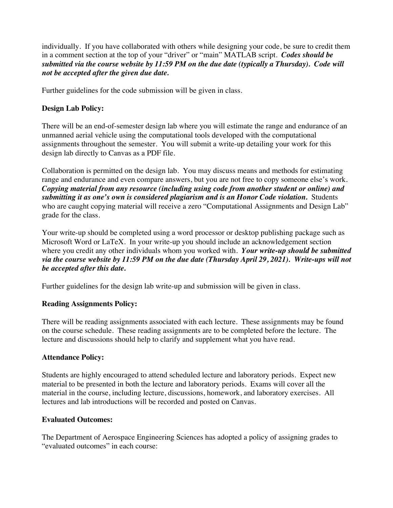individually. If you have collaborated with others while designing your code, be sure to credit them in a comment section at the top of your "driver" or "main" MATLAB script. *Codes should be submitted via the course website by 11:59 PM on the due date (typically a Thursday). Code will not be accepted after the given due date.*

Further guidelines for the code submission will be given in class.

# **Design Lab Policy:**

There will be an end-of-semester design lab where you will estimate the range and endurance of an unmanned aerial vehicle using the computational tools developed with the computational assignments throughout the semester. You will submit a write-up detailing your work for this design lab directly to Canvas as a PDF file.

Collaboration is permitted on the design lab. You may discuss means and methods for estimating range and endurance and even compare answers, but you are not free to copy someone else's work. *Copying material from any resource (including using code from another student or online) and*  submitting it as one's own is considered plagiarism and is an Honor Code violation. Students who are caught copying material will receive a zero "Computational Assignments and Design Lab" grade for the class.

Your write-up should be completed using a word processor or desktop publishing package such as Microsoft Word or LaTeX. In your write-up you should include an acknowledgement section where you credit any other individuals whom you worked with. *Your write-up should be submitted via the course website by 11:59 PM on the due date (Thursday April 29, 2021). Write-ups will not be accepted after this date.*

Further guidelines for the design lab write-up and submission will be given in class.

## **Reading Assignments Policy:**

There will be reading assignments associated with each lecture. These assignments may be found on the course schedule. These reading assignments are to be completed before the lecture. The lecture and discussions should help to clarify and supplement what you have read.

## **Attendance Policy:**

Students are highly encouraged to attend scheduled lecture and laboratory periods. Expect new material to be presented in both the lecture and laboratory periods. Exams will cover all the material in the course, including lecture, discussions, homework, and laboratory exercises. All lectures and lab introductions will be recorded and posted on Canvas.

## **Evaluated Outcomes:**

The Department of Aerospace Engineering Sciences has adopted a policy of assigning grades to "evaluated outcomes" in each course: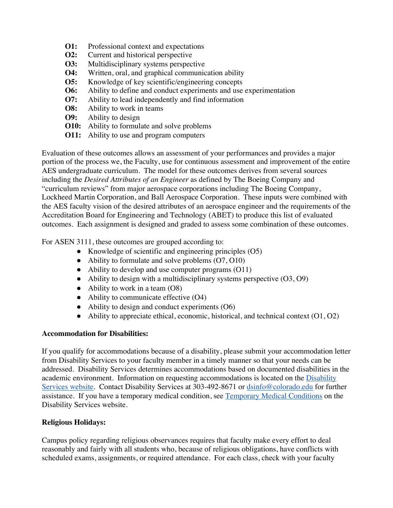- **O1:** Professional context and expectations
- **O2:** Current and historical perspective
- **O3:** Multidisciplinary systems perspective
- **O4:** Written, oral, and graphical communication ability
- **O5:** Knowledge of key scientific/engineering concepts
- **O6:** Ability to define and conduct experiments and use experimentation
- **O7:** Ability to lead independently and find information
- **O8:** Ability to work in teams
- **O9:** Ability to design
- **O10:** Ability to formulate and solve problems
- **O11:** Ability to use and program computers

Evaluation of these outcomes allows an assessment of your performances and provides a major portion of the process we, the Faculty, use for continuous assessment and improvement of the entire AES undergraduate curriculum. The model for these outcomes derives from several sources including the *Desired Attributes of an Engineer* as defined by The Boeing Company and "curriculum reviews" from major aerospace corporations including The Boeing Company, Lockheed Martin Corporation, and Ball Aerospace Corporation. These inputs were combined with the AES faculty vision of the desired attributes of an aerospace engineer and the requirements of the Accreditation Board for Engineering and Technology (ABET) to produce this list of evaluated outcomes. Each assignment is designed and graded to assess some combination of these outcomes.

For ASEN 3111, these outcomes are grouped according to:

- Knowledge of scientific and engineering principles (O5)
- Ability to formulate and solve problems (O7, O10)
- Ability to develop and use computer programs (O11)
- $\bullet$  Ability to design with a multidisciplinary systems perspective  $(O3, O9)$
- Ability to work in a team (O8)
- Ability to communicate effective (O4)
- Ability to design and conduct experiments (O6)
- $\bullet$  Ability to appreciate ethical, economic, historical, and technical context  $(01, 02)$

## **Accommodation for Disabilities:**

If you qualify for accommodations because of a disability, please submit your accommodation letter from Disability Services to your faculty member in a timely manner so that your needs can be addressed. Disability Services determines accommodations based on documented disabilities in the academic environment. Information on requesting accommodations is located on the Disability Services website. Contact Disability Services at 303-492-8671 or dsinfo@colorado.edu for further assistance. If you have a temporary medical condition, see Temporary Medical Conditions on the Disability Services website.

## **Religious Holidays:**

Campus policy regarding religious observances requires that faculty make every effort to deal reasonably and fairly with all students who, because of religious obligations, have conflicts with scheduled exams, assignments, or required attendance. For each class, check with your faculty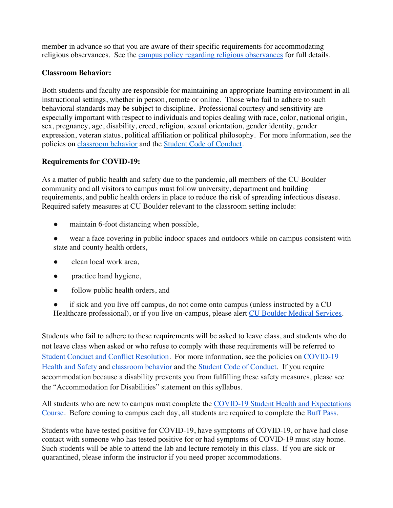member in advance so that you are aware of their specific requirements for accommodating religious observances. See the campus policy regarding religious observances for full details.

## **Classroom Behavior:**

Both students and faculty are responsible for maintaining an appropriate learning environment in all instructional settings, whether in person, remote or online. Those who fail to adhere to such behavioral standards may be subject to discipline. Professional courtesy and sensitivity are especially important with respect to individuals and topics dealing with race, color, national origin, sex, pregnancy, age, disability, creed, religion, sexual orientation, gender identity, gender expression, veteran status, political affiliation or political philosophy. For more information, see the policies on classroom behavior and the **Student Code of Conduct**.

# **Requirements for COVID-19:**

As a matter of public health and safety due to the pandemic, all members of the CU Boulder community and all visitors to campus must follow university, department and building requirements, and public health orders in place to reduce the risk of spreading infectious disease. Required safety measures at CU Boulder relevant to the classroom setting include:

- maintain 6-foot distancing when possible,
- wear a face covering in public indoor spaces and outdoors while on campus consistent with state and county health orders,
- clean local work area,
- practice hand hygiene,
- follow public health orders, and
- if sick and you live off campus, do not come onto campus (unless instructed by a CU Healthcare professional), or if you live on-campus, please alert CU Boulder Medical Services.

Students who fail to adhere to these requirements will be asked to leave class, and students who do not leave class when asked or who refuse to comply with these requirements will be referred to Student Conduct and Conflict Resolution. For more information, see the policies on COVID-19 Health and Safety and classroom behavior and the Student Code of Conduct. If you require accommodation because a disability prevents you from fulfilling these safety measures, please see the "Accommodation for Disabilities" statement on this syllabus.

All students who are new to campus must complete the COVID-19 Student Health and Expectations Course. Before coming to campus each day, all students are required to complete the Buff Pass.

Students who have tested positive for COVID-19, have symptoms of COVID-19, or have had close contact with someone who has tested positive for or had symptoms of COVID-19 must stay home. Such students will be able to attend the lab and lecture remotely in this class. If you are sick or quarantined, please inform the instructor if you need proper accommodations.